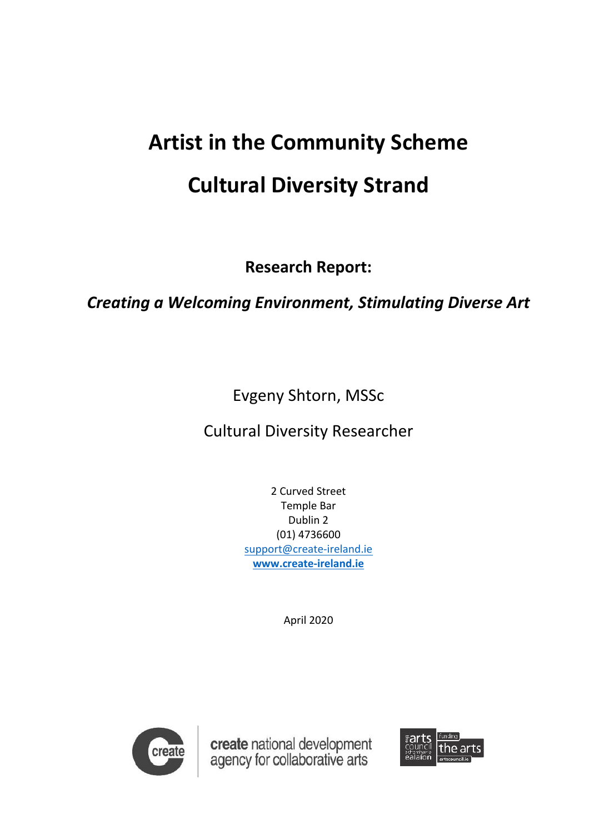# **Artist in the Community Scheme Cultural Diversity Strand**

**Research Report:**

# **Creating a Welcoming Environment, Stimulating Diverse Art**

Evgeny Shtorn, MSSc

**Cultural Diversity Researcher** 

2 Curved Street **Temple Bar** Dublin 2 (01) 4736600 support@create-ireland.ie **www.create-ireland.ie**

April 2020



create national development<br>agency for collaborative arts

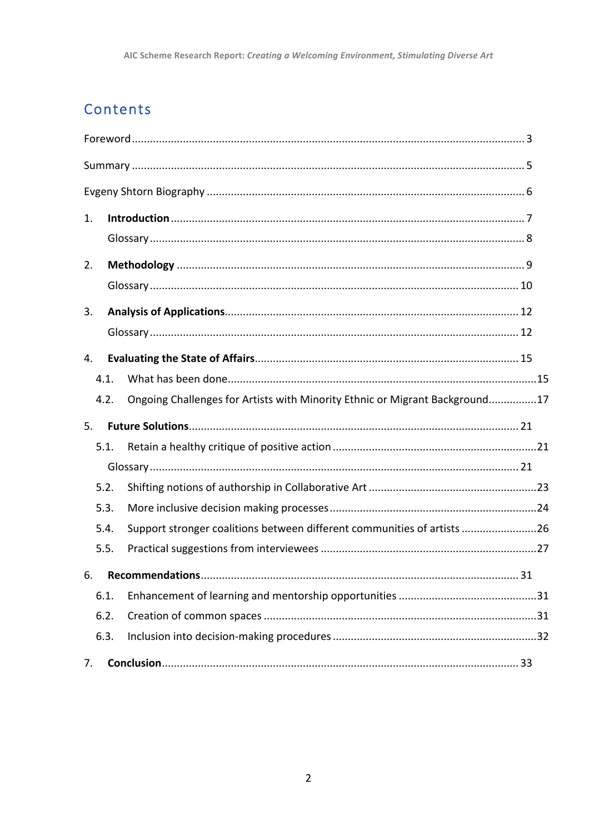# Contents

| 1.             |                                                                             |            |
|----------------|-----------------------------------------------------------------------------|------------|
|                |                                                                             |            |
| 2.             |                                                                             |            |
|                |                                                                             |            |
| 3.             |                                                                             |            |
|                |                                                                             |            |
| 4.             |                                                                             |            |
| 4.1.           |                                                                             |            |
| 4.2.           | Ongoing Challenges for Artists with Minority Ethnic or Migrant Background17 |            |
| 5 <sub>1</sub> |                                                                             |            |
| 5.1.           |                                                                             |            |
|                |                                                                             |            |
| 5.2.           |                                                                             |            |
| 5.3.           |                                                                             |            |
| 5.4.           | Support stronger coalitions between different communities of artists 26     |            |
| 5.5.           |                                                                             |            |
|                |                                                                             | $\dots$ 31 |
| 6.1.           |                                                                             |            |
| 6.2.           |                                                                             |            |
| 6.3.           |                                                                             |            |
| 7.             |                                                                             |            |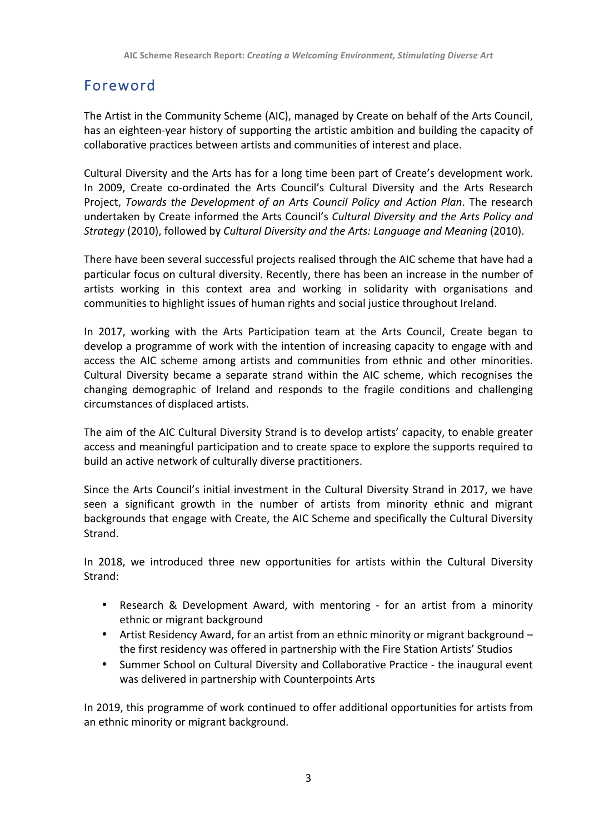# Foreword

The Artist in the Community Scheme (AIC), managed by Create on behalf of the Arts Council, has an eighteen-year history of supporting the artistic ambition and building the capacity of collaborative practices between artists and communities of interest and place.

Cultural Diversity and the Arts has for a long time been part of Create's development work. In 2009, Create co-ordinated the Arts Council's Cultural Diversity and the Arts Research Project, *Towards the Development of an Arts Council Policy and Action Plan*. The research undertaken by Create informed the Arts Council's *Cultural Diversity and the Arts Policy and Strategy* (2010), followed by *Cultural Diversity and the Arts: Language and Meaning* (2010).

There have been several successful projects realised through the AIC scheme that have had a particular focus on cultural diversity. Recently, there has been an increase in the number of artists working in this context area and working in solidarity with organisations and communities to highlight issues of human rights and social justice throughout Ireland.

In 2017, working with the Arts Participation team at the Arts Council, Create began to develop a programme of work with the intention of increasing capacity to engage with and access the AIC scheme among artists and communities from ethnic and other minorities. Cultural Diversity became a separate strand within the AIC scheme, which recognises the changing demographic of Ireland and responds to the fragile conditions and challenging circumstances of displaced artists.

The aim of the AIC Cultural Diversity Strand is to develop artists' capacity, to enable greater access and meaningful participation and to create space to explore the supports required to build an active network of culturally diverse practitioners.

Since the Arts Council's initial investment in the Cultural Diversity Strand in 2017, we have seen a significant growth in the number of artists from minority ethnic and migrant backgrounds that engage with Create, the AIC Scheme and specifically the Cultural Diversity Strand.

In 2018, we introduced three new opportunities for artists within the Cultural Diversity Strand:

- Research & Development Award, with mentoring for an artist from a minority ethnic or migrant background
- Artist Residency Award, for an artist from an ethnic minority or migrant background the first residency was offered in partnership with the Fire Station Artists' Studios
- Summer School on Cultural Diversity and Collaborative Practice the inaugural event was delivered in partnership with Counterpoints Arts

In 2019, this programme of work continued to offer additional opportunities for artists from an ethnic minority or migrant background.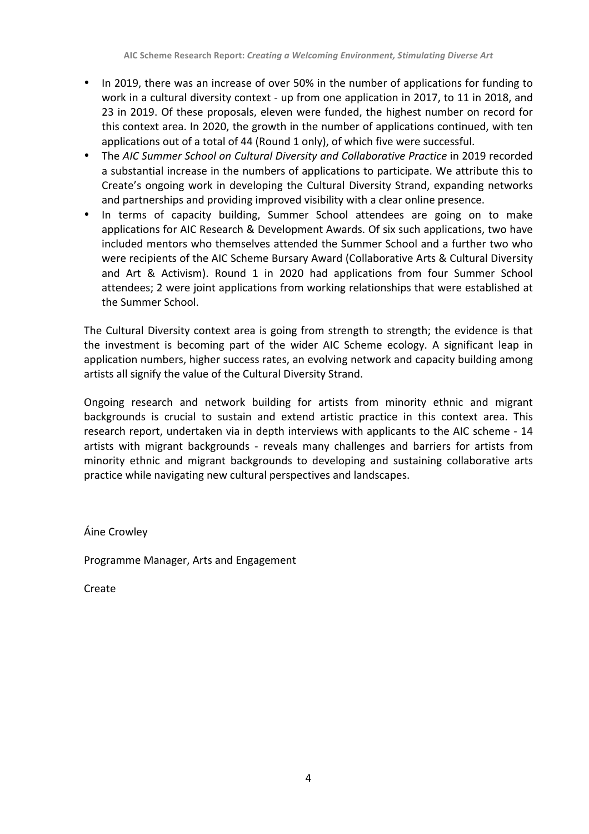- In 2019, there was an increase of over 50% in the number of applications for funding to work in a cultural diversity context - up from one application in 2017, to 11 in 2018, and 23 in 2019. Of these proposals, eleven were funded, the highest number on record for this context area. In 2020, the growth in the number of applications continued, with ten applications out of a total of 44 (Round 1 only), of which five were successful.
- The AIC Summer School on Cultural Diversity and Collaborative Practice in 2019 recorded a substantial increase in the numbers of applications to participate. We attribute this to Create's ongoing work in developing the Cultural Diversity Strand, expanding networks and partnerships and providing improved visibility with a clear online presence.
- In terms of capacity building, Summer School attendees are going on to make applications for AIC Research & Development Awards. Of six such applications, two have included mentors who themselves attended the Summer School and a further two who were recipients of the AIC Scheme Bursary Award (Collaborative Arts & Cultural Diversity and Art & Activism). Round 1 in 2020 had applications from four Summer School attendees; 2 were joint applications from working relationships that were established at the Summer School.

The Cultural Diversity context area is going from strength to strength; the evidence is that the investment is becoming part of the wider AIC Scheme ecology. A significant leap in application numbers, higher success rates, an evolving network and capacity building among artists all signify the value of the Cultural Diversity Strand.

Ongoing research and network building for artists from minority ethnic and migrant backgrounds is crucial to sustain and extend artistic practice in this context area. This research report, undertaken via in depth interviews with applicants to the AIC scheme - 14 artists with migrant backgrounds - reveals many challenges and barriers for artists from minority ethnic and migrant backgrounds to developing and sustaining collaborative arts practice while navigating new cultural perspectives and landscapes.

Áine Crowley

Programme Manager, Arts and Engagement

Create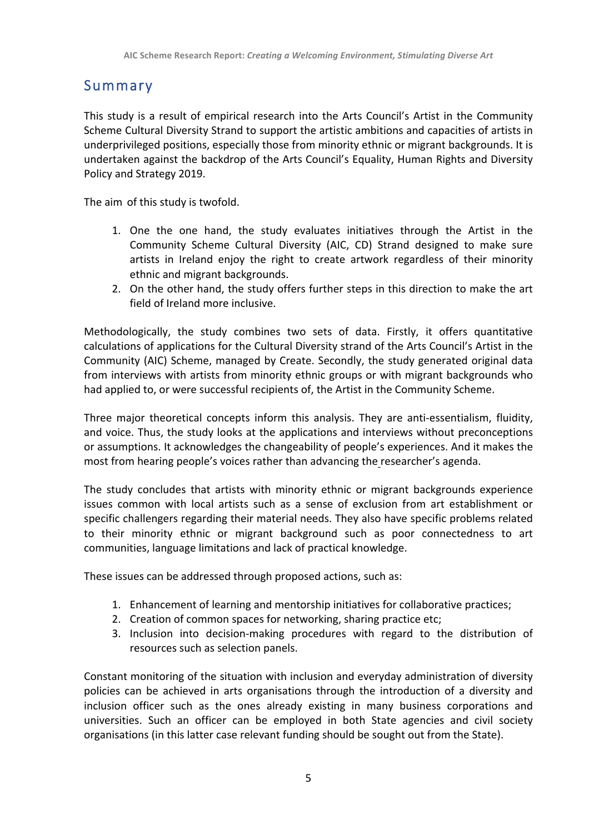## Summary

This study is a result of empirical research into the Arts Council's Artist in the Community Scheme Cultural Diversity Strand to support the artistic ambitions and capacities of artists in underprivileged positions, especially those from minority ethnic or migrant backgrounds. It is undertaken against the backdrop of the Arts Council's Equality, Human Rights and Diversity Policy and Strategy 2019.

The aim of this study is twofold.

- 1. One the one hand, the study evaluates initiatives through the Artist in the Community Scheme Cultural Diversity (AIC, CD) Strand designed to make sure artists in Ireland enjoy the right to create artwork regardless of their minority ethnic and migrant backgrounds.
- 2. On the other hand, the study offers further steps in this direction to make the art field of Ireland more inclusive.

Methodologically, the study combines two sets of data. Firstly, it offers quantitative calculations of applications for the Cultural Diversity strand of the Arts Council's Artist in the Community (AIC) Scheme, managed by Create. Secondly, the study generated original data from interviews with artists from minority ethnic groups or with migrant backgrounds who had applied to, or were successful recipients of, the Artist in the Community Scheme.

Three major theoretical concepts inform this analysis. They are anti-essentialism, fluidity, and voice. Thus, the study looks at the applications and interviews without preconceptions or assumptions. It acknowledges the changeability of people's experiences. And it makes the most from hearing people's voices rather than advancing the researcher's agenda.

The study concludes that artists with minority ethnic or migrant backgrounds experience issues common with local artists such as a sense of exclusion from art establishment or specific challengers regarding their material needs. They also have specific problems related to their minority ethnic or migrant background such as poor connectedness to art communities, language limitations and lack of practical knowledge.

These issues can be addressed through proposed actions, such as:

- 1. Enhancement of learning and mentorship initiatives for collaborative practices;
- 2. Creation of common spaces for networking, sharing practice etc;
- 3. Inclusion into decision-making procedures with regard to the distribution of resources such as selection panels.

Constant monitoring of the situation with inclusion and everyday administration of diversity policies can be achieved in arts organisations through the introduction of a diversity and inclusion officer such as the ones already existing in many business corporations and universities. Such an officer can be employed in both State agencies and civil society organisations (in this latter case relevant funding should be sought out from the State).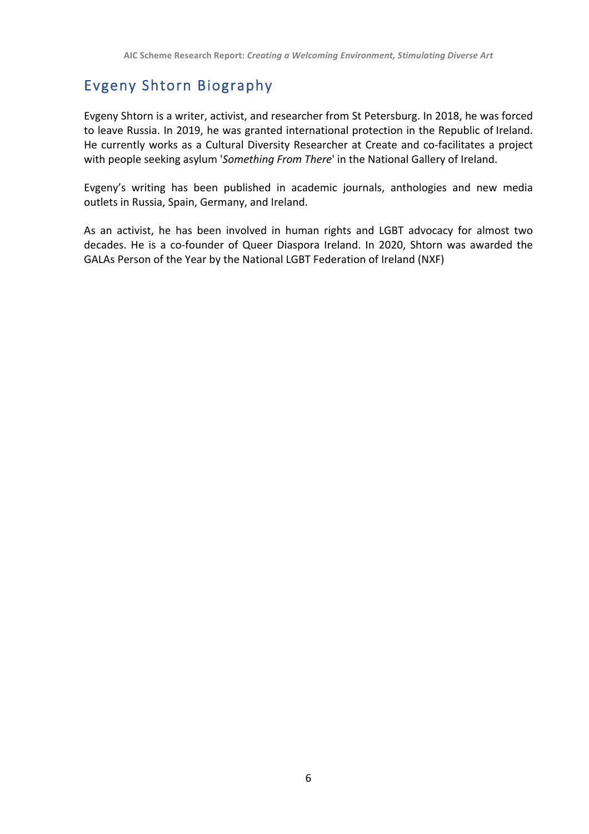## Evgeny Shtorn Biography

Evgeny Shtorn is a writer, activist, and researcher from St Petersburg. In 2018, he was forced to leave Russia. In 2019, he was granted international protection in the Republic of Ireland. He currently works as a Cultural Diversity Researcher at Create and co-facilitates a project with people seeking asylum 'Something From There' in the National Gallery of Ireland.

Evgeny's writing has been published in academic journals, anthologies and new media outlets in Russia, Spain, Germany, and Ireland.

As an activist, he has been involved in human rights and LGBT advocacy for almost two decades. He is a co-founder of Queer Diaspora Ireland. In 2020, Shtorn was awarded the GALAs Person of the Year by the National LGBT Federation of Ireland (NXF)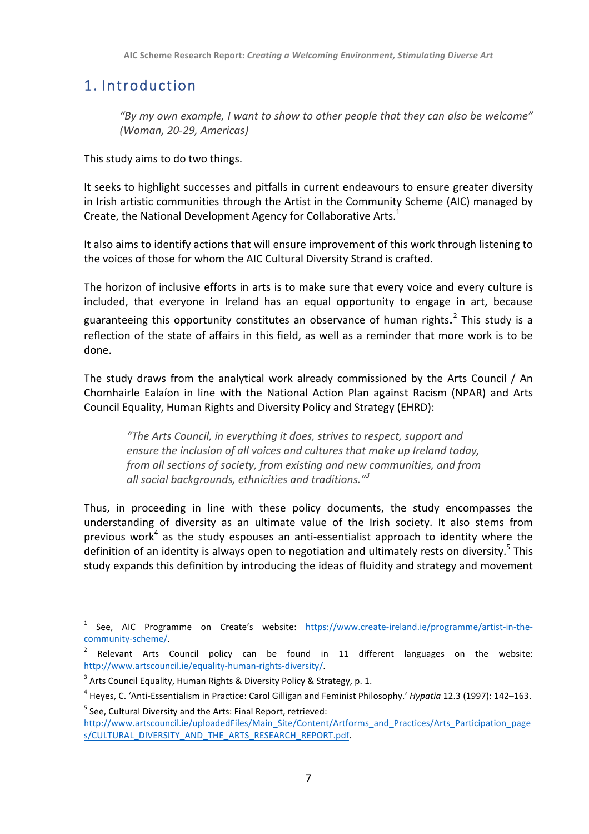## 1. Introduction

*"By my own example, I want to show to other people that they can also be welcome" (Woman, 20-29, Americas)*

This study aims to do two things.

It seeks to highlight successes and pitfalls in current endeavours to ensure greater diversity in Irish artistic communities through the Artist in the Community Scheme (AIC) managed by Create, the National Development Agency for Collaborative Arts. $<sup>1</sup>$ </sup>

It also aims to identify actions that will ensure improvement of this work through listening to the voices of those for whom the AIC Cultural Diversity Strand is crafted.

The horizon of inclusive efforts in arts is to make sure that every voice and every culture is included, that everyone in Ireland has an equal opportunity to engage in art, because guaranteeing this opportunity constitutes an observance of human rights.<sup>2</sup> This study is a reflection of the state of affairs in this field, as well as a reminder that more work is to be done.

The study draws from the analytical work already commissioned by the Arts Council / An Chomhairle Ealaíon in line with the National Action Plan against Racism (NPAR) and Arts Council Equality, Human Rights and Diversity Policy and Strategy (EHRD):

*"The Arts Council, in everything it does, strives to respect, support and ensure the inclusion of all voices and cultures that make up Ireland today, from all sections of society, from existing and new communities, and from* all social backgrounds, ethnicities and traditions.<sup>"3</sup>

Thus, in proceeding in line with these policy documents, the study encompasses the understanding of diversity as an ultimate value of the Irish society. It also stems from previous work<sup>4</sup> as the study espouses an anti-essentialist approach to identity where the definition of an identity is always open to negotiation and ultimately rests on diversity.<sup>5</sup> This study expands this definition by introducing the ideas of fluidity and strategy and movement

 $1$  See, AIC Programme on Create's website: https://www.create-ireland.ie/programme/artist-in-thecommunity-scheme/.

<sup>&</sup>lt;sup>2</sup> Relevant Arts Council policy can be found in 11 different languages on the website: http://www.artscouncil.ie/equality-human-rights-diversity/.

 $3$  Arts Council Equality, Human Rights & Diversity Policy & Strategy, p. 1.

<sup>&</sup>lt;sup>4</sup> Heyes, C. 'Anti-Essentialism in Practice: Carol Gilligan and Feminist Philosophy.' Hypatia 12.3 (1997): 142–163.  $5$  See, Cultural Diversity and the Arts: Final Report, retrieved:

http://www.artscouncil.ie/uploadedFiles/Main\_Site/Content/Artforms\_and\_Practices/Arts\_Participation\_page s/CULTURAL\_DIVERSITY\_AND\_THE\_ARTS\_RESEARCH\_REPORT.pdf.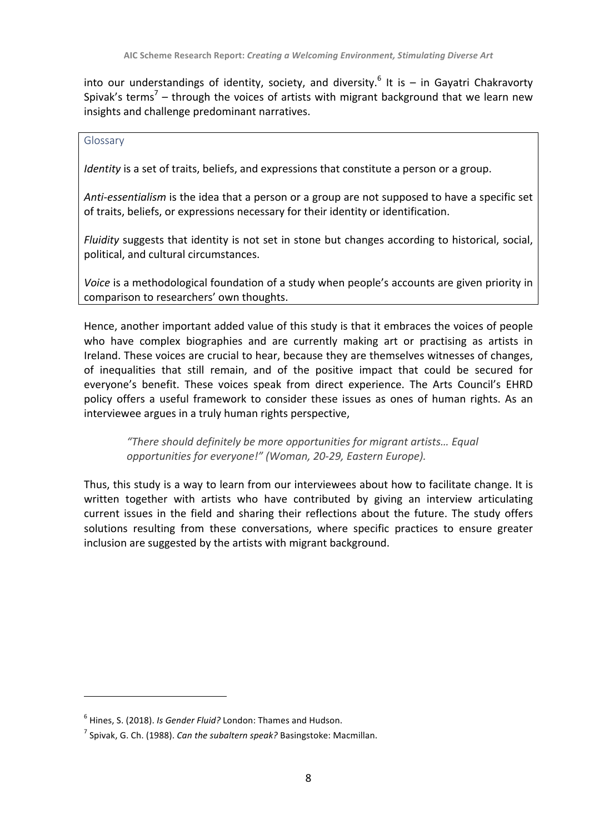into our understandings of identity, society, and diversity.<sup>6</sup> It is – in Gayatri Chakravorty Spivak's terms<sup>7</sup> – through the voices of artists with migrant background that we learn new insights and challenge predominant narratives.

#### Glossary

*Identity* is a set of traits, beliefs, and expressions that constitute a person or a group.

*Anti-essentialism* is the idea that a person or a group are not supposed to have a specific set of traits, beliefs, or expressions necessary for their identity or identification.

*Fluidity* suggests that identity is not set in stone but changes according to historical, social, political, and cultural circumstances.

Voice is a methodological foundation of a study when people's accounts are given priority in comparison to researchers' own thoughts.

Hence, another important added value of this study is that it embraces the voices of people who have complex biographies and are currently making art or practising as artists in Ireland. These voices are crucial to hear, because they are themselves witnesses of changes, of inequalities that still remain, and of the positive impact that could be secured for everyone's benefit. These voices speak from direct experience. The Arts Council's EHRD policy offers a useful framework to consider these issues as ones of human rights. As an interviewee argues in a truly human rights perspective,

*"There should definitely be more opportunities for migrant artists… Equal*  opportunities for everyone!" (Woman, 20-29, Eastern Europe).

Thus, this study is a way to learn from our interviewees about how to facilitate change. It is written together with artists who have contributed by giving an interview articulating current issues in the field and sharing their reflections about the future. The study offers solutions resulting from these conversations, where specific practices to ensure greater inclusion are suggested by the artists with migrant background.

<sup>&</sup>lt;sup>6</sup> Hines, S. (2018). *Is Gender Fluid?* London: Thames and Hudson.

 $<sup>7</sup>$  Spivak, G. Ch. (1988). *Can the subaltern speak?* Basingstoke: Macmillan.</sup>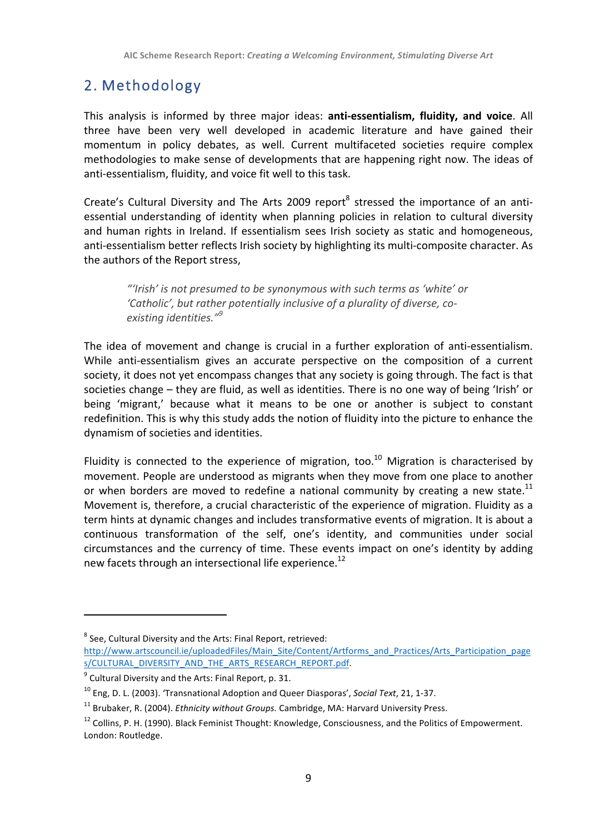## 2. Methodology

This analysis is informed by three major ideas: **anti-essentialism, fluidity, and voice**. All three have been very well developed in academic literature and have gained their momentum in policy debates, as well. Current multifaceted societies require complex methodologies to make sense of developments that are happening right now. The ideas of anti-essentialism, fluidity, and voice fit well to this task.

Create's Cultural Diversity and The Arts 2009 report<sup>8</sup> stressed the importance of an antiessential understanding of identity when planning policies in relation to cultural diversity and human rights in Ireland. If essentialism sees Irish society as static and homogeneous, anti-essentialism better reflects Irish society by highlighting its multi-composite character. As the authors of the Report stress.

"Irish' is not presumed to be synonymous with such terms as 'white' or 'Catholic', but rather potentially inclusive of a plurality of diverse, co*existing identities." 9*

The idea of movement and change is crucial in a further exploration of anti-essentialism. While anti-essentialism gives an accurate perspective on the composition of a current society, it does not yet encompass changes that any society is going through. The fact is that societies change – they are fluid, as well as identities. There is no one way of being 'Irish' or being 'migrant,' because what it means to be one or another is subject to constant redefinition. This is why this study adds the notion of fluidity into the picture to enhance the dynamism of societies and identities.

Fluidity is connected to the experience of migration, too.<sup>10</sup> Migration is characterised by movement. People are understood as migrants when they move from one place to another or when borders are moved to redefine a national community by creating a new state.<sup>11</sup> Movement is, therefore, a crucial characteristic of the experience of migration. Fluidity as a term hints at dynamic changes and includes transformative events of migration. It is about a continuous transformation of the self, one's identity, and communities under social circumstances and the currency of time. These events impact on one's identity by adding new facets through an intersectional life experience.<sup>12</sup>

 $8$  See, Cultural Diversity and the Arts: Final Report, retrieved:

http://www.artscouncil.ie/uploadedFiles/Main\_Site/Content/Artforms\_and\_Practices/Arts\_Participation\_page s/CULTURAL\_DIVERSITY\_AND\_THE\_ARTS\_RESEARCH\_REPORT.pdf.

 $9$  Cultural Diversity and the Arts: Final Report, p. 31.

<sup>&</sup>lt;sup>10</sup> Eng, D. L. (2003). 'Transnational Adoption and Queer Diasporas', *Social Text*, 21, 1-37.

<sup>&</sup>lt;sup>11</sup> Brubaker, R. (2004). *Ethnicity without Groups.* Cambridge, MA: Harvard University Press.

<sup>&</sup>lt;sup>12</sup> Collins. P. H. (1990). Black Feminist Thought: Knowledge, Consciousness, and the Politics of Empowerment. London: Routledge.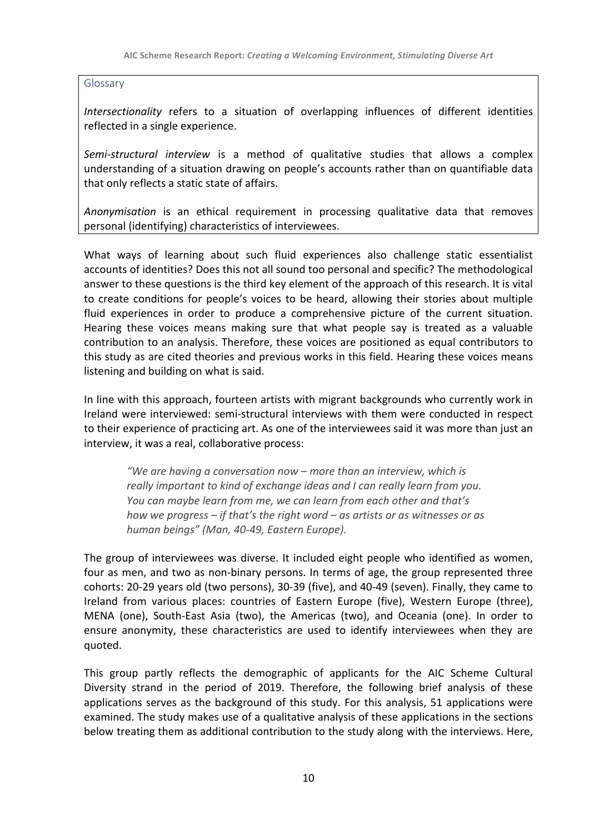Glossary

*Intersectionality* refers to a situation of overlapping influences of different identities reflected in a single experience.

*Semi-structural interview* is a method of qualitative studies that allows a complex understanding of a situation drawing on people's accounts rather than on quantifiable data that only reflects a static state of affairs.

*Anonymisation* is an ethical requirement in processing qualitative data that removes personal (identifying) characteristics of interviewees.

What ways of learning about such fluid experiences also challenge static essentialist accounts of identities? Does this not all sound too personal and specific? The methodological answer to these questions is the third key element of the approach of this research. It is vital to create conditions for people's voices to be heard, allowing their stories about multiple fluid experiences in order to produce a comprehensive picture of the current situation. Hearing these voices means making sure that what people say is treated as a valuable contribution to an analysis. Therefore, these voices are positioned as equal contributors to this study as are cited theories and previous works in this field. Hearing these voices means listening and building on what is said.

In line with this approach, fourteen artists with migrant backgrounds who currently work in Ireland were interviewed: semi-structural interviews with them were conducted in respect to their experience of practicing art. As one of the interviewees said it was more than just an interview, it was a real, collaborative process:

*"We are having a conversation now* – *more than an interview, which is really important to kind of exchange ideas and I can really learn from you. You* can maybe learn from me, we can learn from each other and that's *how* we progress – if that's the right word – as artists or as witnesses or as *human beings" (Man, 40-49, Eastern Europe).*

The group of interviewees was diverse. It included eight people who identified as women, four as men, and two as non-binary persons. In terms of age, the group represented three cohorts: 20-29 years old (two persons), 30-39 (five), and 40-49 (seven). Finally, they came to Ireland from various places: countries of Eastern Europe (five), Western Europe (three), MENA (one), South-East Asia (two), the Americas (two), and Oceania (one). In order to ensure anonymity, these characteristics are used to identify interviewees when they are quoted.

This group partly reflects the demographic of applicants for the AIC Scheme Cultural Diversity strand in the period of 2019. Therefore, the following brief analysis of these applications serves as the background of this study. For this analysis, 51 applications were examined. The study makes use of a qualitative analysis of these applications in the sections below treating them as additional contribution to the study along with the interviews. Here,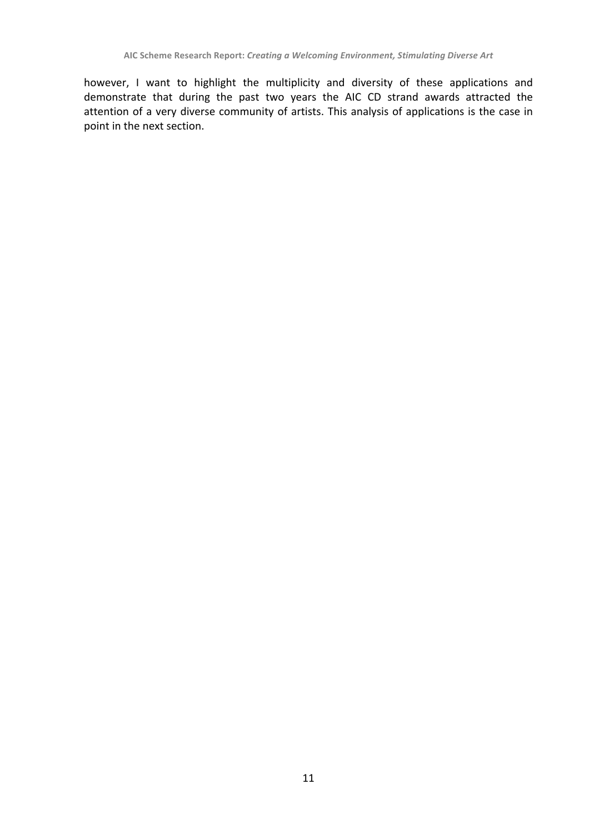however, I want to highlight the multiplicity and diversity of these applications and demonstrate that during the past two years the AIC CD strand awards attracted the attention of a very diverse community of artists. This analysis of applications is the case in point in the next section.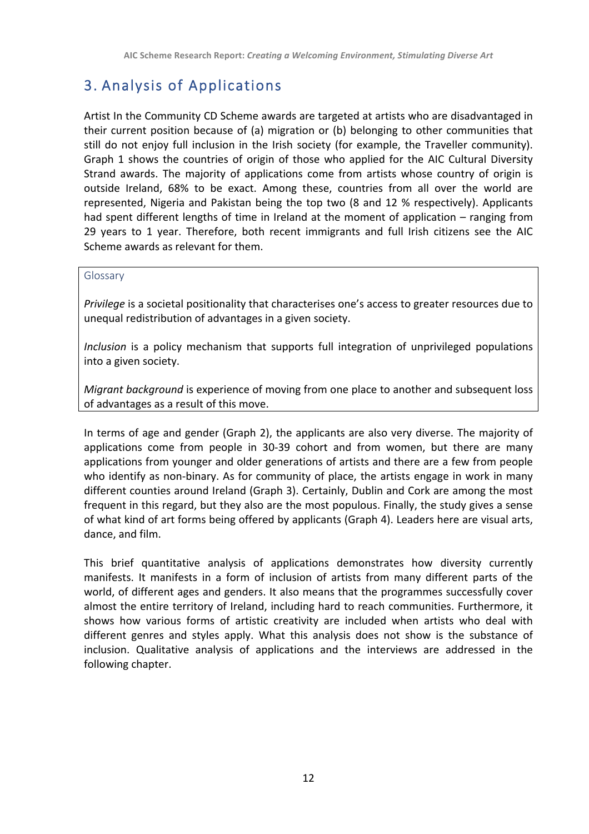## 3. Analysis of Applications

Artist In the Community CD Scheme awards are targeted at artists who are disadvantaged in their current position because of (a) migration or (b) belonging to other communities that still do not enjoy full inclusion in the Irish society (for example, the Traveller community). Graph 1 shows the countries of origin of those who applied for the AIC Cultural Diversity Strand awards. The majority of applications come from artists whose country of origin is outside Ireland, 68% to be exact. Among these, countries from all over the world are represented, Nigeria and Pakistan being the top two (8 and 12 % respectively). Applicants had spent different lengths of time in Ireland at the moment of application  $-$  ranging from 29 years to 1 year. Therefore, both recent immigrants and full Irish citizens see the AIC Scheme awards as relevant for them.

#### Glossary

*Privilege* is a societal positionality that characterises one's access to greater resources due to unequal redistribution of advantages in a given society.

*Inclusion* is a policy mechanism that supports full integration of unprivileged populations into a given society.

*Migrant background* is experience of moving from one place to another and subsequent loss of advantages as a result of this move.

In terms of age and gender (Graph 2), the applicants are also very diverse. The majority of applications come from people in 30-39 cohort and from women, but there are many applications from younger and older generations of artists and there are a few from people who identify as non-binary. As for community of place, the artists engage in work in many different counties around Ireland (Graph 3). Certainly, Dublin and Cork are among the most frequent in this regard, but they also are the most populous. Finally, the study gives a sense of what kind of art forms being offered by applicants (Graph 4). Leaders here are visual arts, dance, and film.

This brief quantitative analysis of applications demonstrates how diversity currently manifests. It manifests in a form of inclusion of artists from many different parts of the world, of different ages and genders. It also means that the programmes successfully cover almost the entire territory of Ireland, including hard to reach communities. Furthermore, it shows how various forms of artistic creativity are included when artists who deal with different genres and styles apply. What this analysis does not show is the substance of inclusion. Qualitative analysis of applications and the interviews are addressed in the following chapter.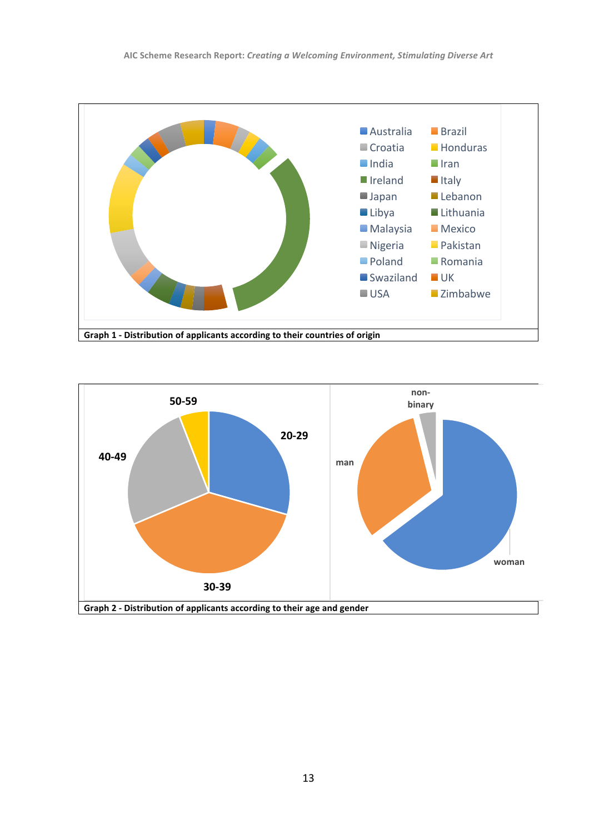

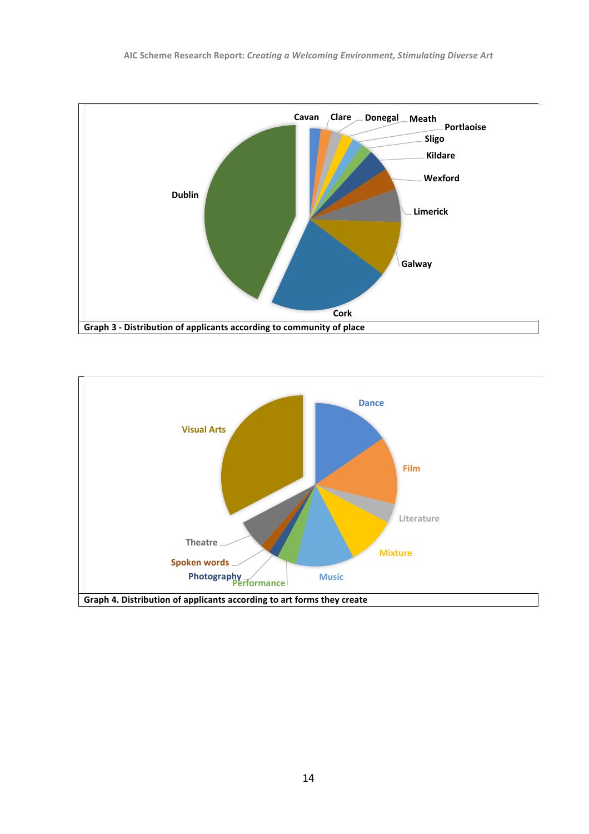

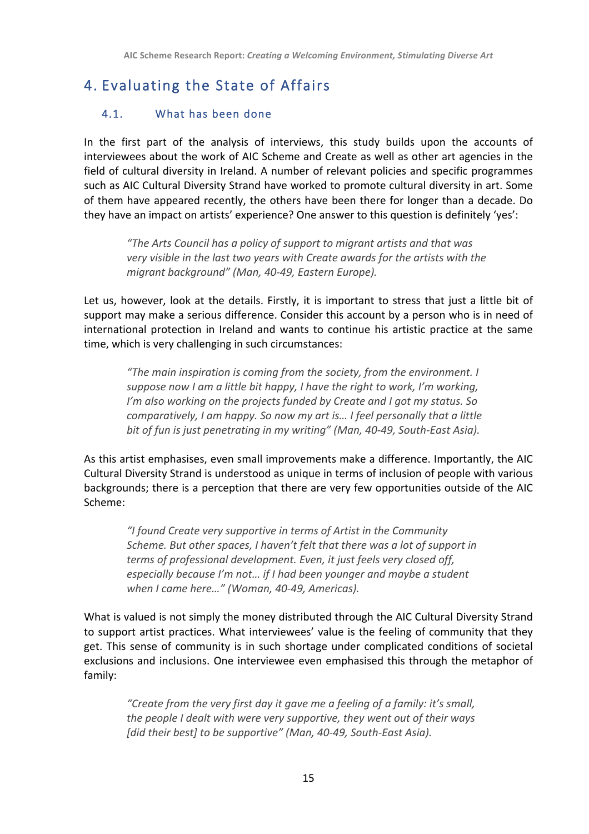# 4. Evaluating the State of Affairs

## 4.1. What has been done

In the first part of the analysis of interviews, this study builds upon the accounts of interviewees about the work of AIC Scheme and Create as well as other art agencies in the field of cultural diversity in Ireland. A number of relevant policies and specific programmes such as AIC Cultural Diversity Strand have worked to promote cultural diversity in art. Some of them have appeared recently, the others have been there for longer than a decade. Do they have an impact on artists' experience? One answer to this question is definitely 'yes':

"The Arts Council has a policy of support to migrant artists and that was *very visible in the last two years with Create awards for the artists with the* migrant background" (Man, 40-49, Eastern Europe).

Let us, however, look at the details. Firstly, it is important to stress that just a little bit of support may make a serious difference. Consider this account by a person who is in need of international protection in Ireland and wants to continue his artistic practice at the same time, which is very challenging in such circumstances:

"The main inspiration is coming from the society, from the environment. I suppose now I am a little bit happy, I have the right to work, I'm working, *I'm* also working on the projects funded by Create and I got my status. So *comparatively, I am happy.* So now my art is... I feel personally that a little *bit of fun is just penetrating in my writing"* (Man, 40-49, South-East Asia).

As this artist emphasises, even small improvements make a difference. Importantly, the AIC Cultural Diversity Strand is understood as unique in terms of inclusion of people with various backgrounds; there is a perception that there are very few opportunities outside of the AIC Scheme:

*"I found Create very supportive in terms of Artist in the Community Scheme. But other spaces, I haven't felt that there was a lot of support in terms of professional development. Even, it just feels very closed off, especially because I'm not... if I had been younger and maybe a student when I came here…" (Woman, 40-49, Americas).*

What is valued is not simply the money distributed through the AIC Cultural Diversity Strand to support artist practices. What interviewees' value is the feeling of community that they get. This sense of community is in such shortage under complicated conditions of societal exclusions and inclusions. One interviewee even emphasised this through the metaphor of family:

"Create from the very first day it gave me a feeling of a family: it's small, *the people I dealt with were very supportive, they went out of their ways* [did their best] to be supportive" (Man, 40-49, South-East Asia).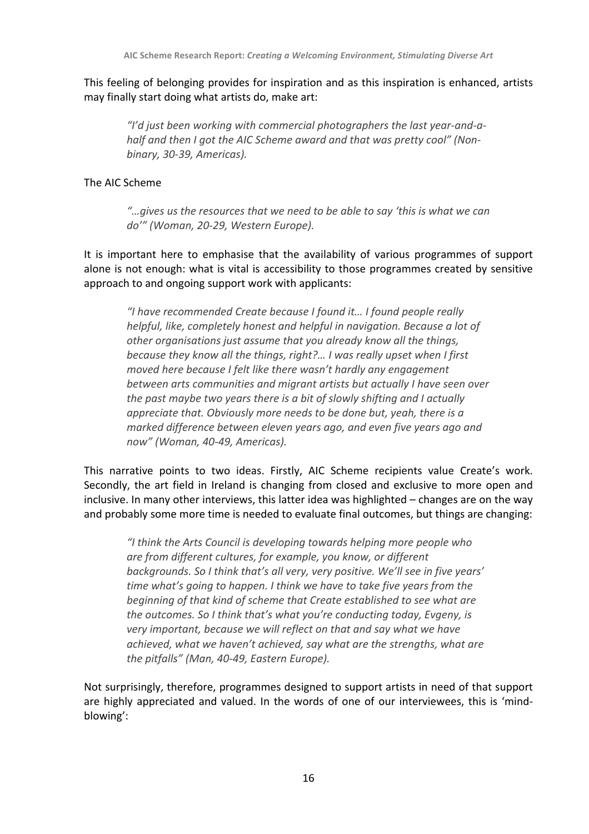This feeling of belonging provides for inspiration and as this inspiration is enhanced, artists may finally start doing what artists do, make art:

"I'd just been working with commercial photographers the last year-and-a*half and then I got the AIC Scheme award and that was pretty cool"* (Non*binary, 30-39, Americas).*

#### The AIC Scheme

"... gives us the resources that we need to be able to say 'this is what we can *do'" (Woman, 20-29, Western Europe).*

It is important here to emphasise that the availability of various programmes of support alone is not enough: what is vital is accessibility to those programmes created by sensitive approach to and ongoing support work with applicants:

*"I have recommended Create because I found it… I found people really helpful, like, completely honest and helpful in navigation. Because a lot of* other organisations just assume that you already know all the things, *because they know all the things, right?... I was really upset when I first moved* here because I felt like there wasn't hardly any engagement *between arts communities and migrant artists but actually I have seen over the past maybe two years there is a bit of slowly shifting and I actually* appreciate that. Obviously more needs to be done but, yeah, there is a *marked difference between eleven years ago, and even five years ago and now" (Woman, 40-49, Americas).*

This narrative points to two ideas. Firstly, AIC Scheme recipients value Create's work. Secondly, the art field in Ireland is changing from closed and exclusive to more open and inclusive. In many other interviews, this latter idea was highlighted – changes are on the way and probably some more time is needed to evaluate final outcomes, but things are changing:

"I think the Arts Council is developing towards helping more people who are from different cultures, for example, you know, or different backgrounds. So I think that's all very, very positive. We'll see in five years' *time* what's going to happen. I think we have to take five years from the *beginning of that kind of scheme that Create established to see what are the outcomes.* So I think that's what you're conducting today, Evgeny, is very important, because we will reflect on that and say what we have achieved, what we haven't achieved, say what are the strengths, what are the pitfalls" (Man, 40-49, Eastern Europe).

Not surprisingly, therefore, programmes designed to support artists in need of that support are highly appreciated and valued. In the words of one of our interviewees, this is 'mindblowing':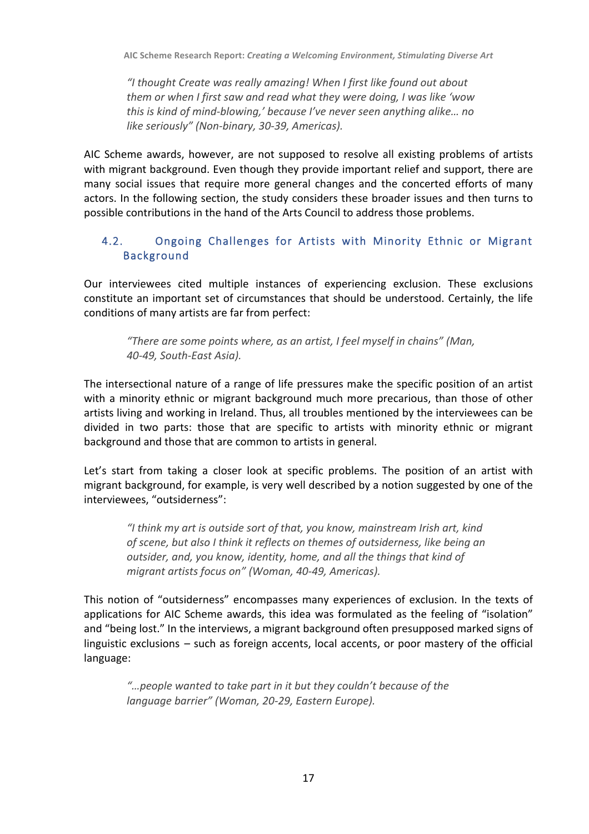*"I thought Create was really amazing! When I first like found out about them or when I first saw and read what they were doing, I was like 'wow this is kind of mind-blowing,' because I've never seen anything alike... no like seriously"* (Non-binary, 30-39, Americas).

AIC Scheme awards, however, are not supposed to resolve all existing problems of artists with migrant background. Even though they provide important relief and support, there are many social issues that require more general changes and the concerted efforts of many actors. In the following section, the study considers these broader issues and then turns to possible contributions in the hand of the Arts Council to address those problems.

## 4.2. Ongoing Challenges for Artists with Minority Ethnic or Migrant Background

Our interviewees cited multiple instances of experiencing exclusion. These exclusions constitute an important set of circumstances that should be understood. Certainly, the life conditions of many artists are far from perfect:

*"There are some points where, as an artist, I feel myself in chains" (Man, 40-49, South-East Asia).*

The intersectional nature of a range of life pressures make the specific position of an artist with a minority ethnic or migrant background much more precarious, than those of other artists living and working in Ireland. Thus, all troubles mentioned by the interviewees can be divided in two parts: those that are specific to artists with minority ethnic or migrant background and those that are common to artists in general.

Let's start from taking a closer look at specific problems. The position of an artist with migrant background, for example, is very well described by a notion suggested by one of the interviewees, "outsiderness":

*"I think my art is outside sort of that, you know, mainstream Irish art, kind*  of scene, but also I think it reflects on themes of outsiderness, like being an outsider, and, you know, identity, home, and all the things that kind of *migrant artists focus on"* (Woman, 40-49, Americas).

This notion of "outsiderness" encompasses many experiences of exclusion. In the texts of applications for AIC Scheme awards, this idea was formulated as the feeling of "isolation" and "being lost." In the interviews, a migrant background often presupposed marked signs of linguistic exclusions  $-$  such as foreign accents, local accents, or poor mastery of the official language:

"... people wanted to take part in it but they couldn't because of the language barrier" (Woman, 20-29, Eastern Europe).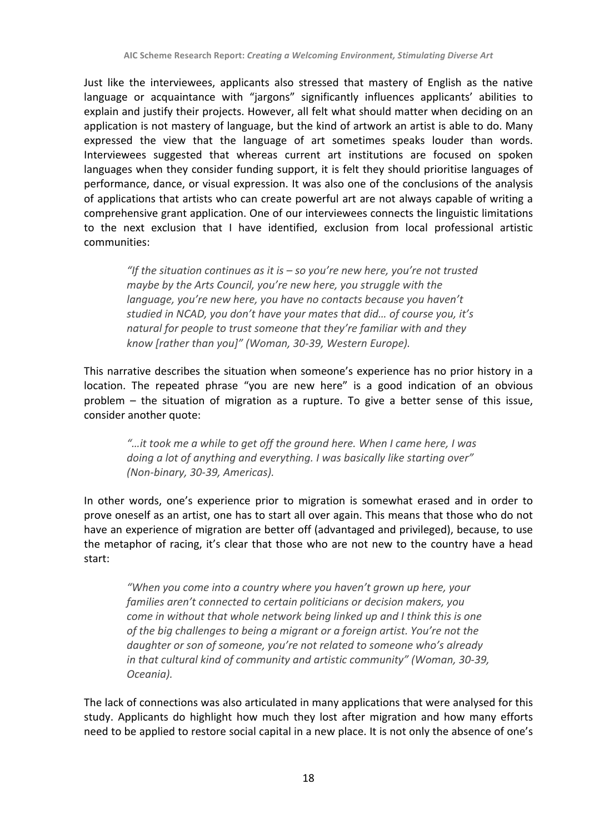Just like the interviewees, applicants also stressed that mastery of English as the native language or acquaintance with "jargons" significantly influences applicants' abilities to explain and justify their projects. However, all felt what should matter when deciding on an application is not mastery of language, but the kind of artwork an artist is able to do. Many expressed the view that the language of art sometimes speaks louder than words. Interviewees suggested that whereas current art institutions are focused on spoken languages when they consider funding support, it is felt they should prioritise languages of performance, dance, or visual expression. It was also one of the conclusions of the analysis of applications that artists who can create powerful art are not always capable of writing a comprehensive grant application. One of our interviewees connects the linguistic limitations to the next exclusion that I have identified, exclusion from local professional artistic communities:

"If the situation continues as it is – so you're new here, you're not trusted *maybe by the Arts Council, you're new here, you struggle with the language, you're new here, you have no contacts because you haven't studied in NCAD, you don't have your mates that did... of course you, it's natural for people to trust someone that they're familiar with and they know [rather than you]" (Woman, 30-39, Western Europe).*

This narrative describes the situation when someone's experience has no prior history in a location. The repeated phrase "you are new here" is a good indication of an obvious problem  $-$  the situation of migration as a rupture. To give a better sense of this issue, consider another quote:

"...it took me a while to get off the ground here. When I came here, I was *doing a lot of anything and everything. I was basically like starting over" (Non-binary, 30-39, Americas).*

In other words, one's experience prior to migration is somewhat erased and in order to prove oneself as an artist, one has to start all over again. This means that those who do not have an experience of migration are better off (advantaged and privileged), because, to use the metaphor of racing, it's clear that those who are not new to the country have a head start:

"When you come into a country where you haven't grown up here, your *families aren't connected to certain politicians or decision makers, you come in without that whole network being linked up and I think this is one of the big challenges to being a migrant or a foreign artist. You're not the* daughter or son of someone, you're not related to someone who's already in that cultural kind of community and artistic community" (Woman, 30-39, *Oceania).*

The lack of connections was also articulated in many applications that were analysed for this study. Applicants do highlight how much they lost after migration and how many efforts need to be applied to restore social capital in a new place. It is not only the absence of one's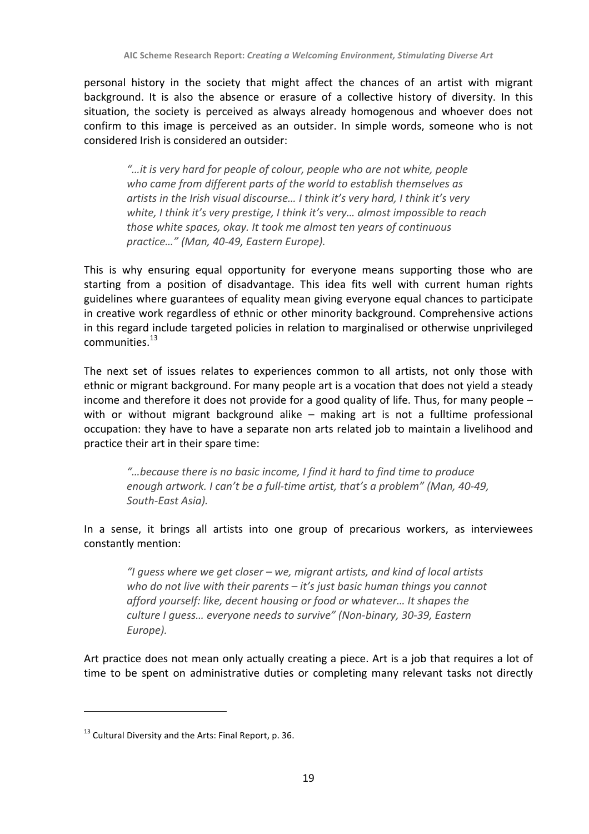personal history in the society that might affect the chances of an artist with migrant background. It is also the absence or erasure of a collective history of diversity. In this situation, the society is perceived as always already homogenous and whoever does not confirm to this image is perceived as an outsider. In simple words, someone who is not considered Irish is considered an outsider:

"...it is very hard for people of colour, people who are not white, people who came from different parts of the world to establish themselves as artists in the Irish visual discourse... I think it's very hard, I think it's very white, I think it's very prestige, I think it's very... almost impossible to reach *those white spaces, okay. It took me almost ten years of continuous practice…" (Man, 40-49, Eastern Europe).*

This is why ensuring equal opportunity for everyone means supporting those who are starting from a position of disadvantage. This idea fits well with current human rights guidelines where guarantees of equality mean giving everyone equal chances to participate in creative work regardless of ethnic or other minority background. Comprehensive actions in this regard include targeted policies in relation to marginalised or otherwise unprivileged communities.<sup>13</sup>

The next set of issues relates to experiences common to all artists, not only those with ethnic or migrant background. For many people art is a vocation that does not yield a steady income and therefore it does not provide for a good quality of life. Thus, for many people  $$ with or without migrant background alike – making art is not a fulltime professional occupation: they have to have a separate non arts related job to maintain a livelihood and practice their art in their spare time:

"...because there is no basic income. I find it hard to find time to produce *enough artwork.* I can't be a full-time artist, that's a problem" (Man, 40-49, *South-East Asia).*

In a sense, it brings all artists into one group of precarious workers, as interviewees constantly mention:

*"I guess where we get closer – we, migrant artists, and kind of local artists*  who do not live with their parents – it's just basic human things you cannot *afford yourself: like, decent housing or food or whatever... It shapes the culture I guess… everyone needs to survive" (Non-binary, 30-39, Eastern Europe).*

Art practice does not mean only actually creating a piece. Art is a job that requires a lot of time to be spent on administrative duties or completing many relevant tasks not directly

 $13$  Cultural Diversity and the Arts: Final Report, p. 36.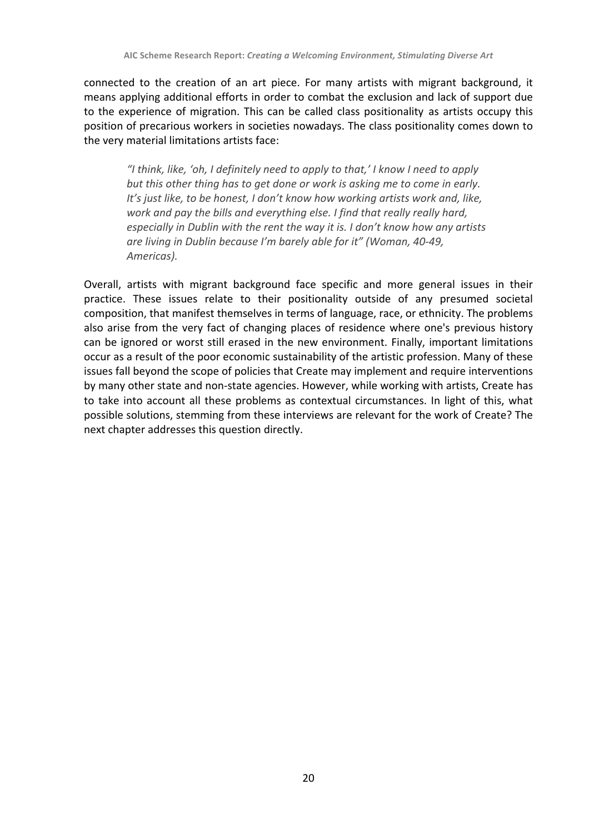connected to the creation of an art piece. For many artists with migrant background, it means applying additional efforts in order to combat the exclusion and lack of support due to the experience of migration. This can be called class positionality as artists occupy this position of precarious workers in societies nowadays. The class positionality comes down to the very material limitations artists face:

"I think, like, 'oh, I definitely need to apply to that,' I know I need to apply *but this other thing has to get done or work is asking me to come in early. It's* just like, to be honest, I don't know how working artists work and, like, *work and pay the bills and everything else. I find that really really hard. especially in Dublin with the rent the way it is. I don't know how any artists are living in Dublin because I'm barely able for it" (Woman, 40-49, Americas).*

Overall, artists with migrant background face specific and more general issues in their practice. These issues relate to their positionality outside of any presumed societal composition, that manifest themselves in terms of language, race, or ethnicity. The problems also arise from the very fact of changing places of residence where one's previous history can be ignored or worst still erased in the new environment. Finally, important limitations occur as a result of the poor economic sustainability of the artistic profession. Many of these issues fall beyond the scope of policies that Create may implement and require interventions by many other state and non-state agencies. However, while working with artists, Create has to take into account all these problems as contextual circumstances. In light of this, what possible solutions, stemming from these interviews are relevant for the work of Create? The next chapter addresses this question directly.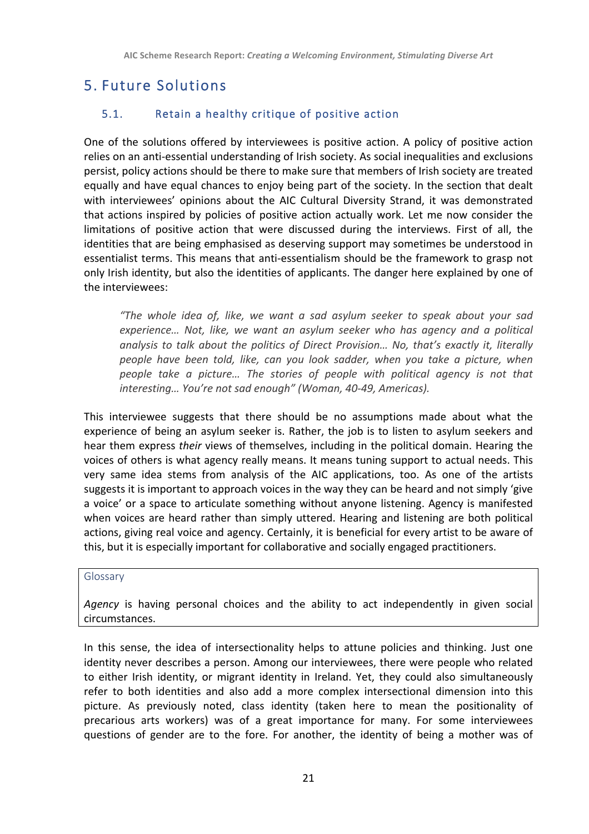## 5. Future Solutions

## 5.1. Retain a healthy critique of positive action

One of the solutions offered by interviewees is positive action. A policy of positive action relies on an anti-essential understanding of Irish society. As social inequalities and exclusions persist, policy actions should be there to make sure that members of Irish society are treated equally and have equal chances to enjoy being part of the society. In the section that dealt with interviewees' opinions about the AIC Cultural Diversity Strand, it was demonstrated that actions inspired by policies of positive action actually work. Let me now consider the limitations of positive action that were discussed during the interviews. First of all, the identities that are being emphasised as deserving support may sometimes be understood in essentialist terms. This means that anti-essentialism should be the framework to grasp not only Irish identity, but also the identities of applicants. The danger here explained by one of the interviewees:

*"The whole idea of, like, we want a sad asylum seeker to speak about your sad*  experience... Not, like, we want an asylum seeker who has agency and a political *analysis to talk about the politics of Direct Provision... No, that's exactly it, literally people have been told, like, can you look sadder, when you take a picture, when people take a picture... The stories of people with political agency is not that* interesting... You're not sad enough" (Woman, 40-49, Americas).

This interviewee suggests that there should be no assumptions made about what the experience of being an asylum seeker is. Rather, the job is to listen to asylum seekers and hear them express *their* views of themselves, including in the political domain. Hearing the voices of others is what agency really means. It means tuning support to actual needs. This very same idea stems from analysis of the AIC applications, too. As one of the artists suggests it is important to approach voices in the way they can be heard and not simply 'give a voice' or a space to articulate something without anyone listening. Agency is manifested when voices are heard rather than simply uttered. Hearing and listening are both political actions, giving real voice and agency. Certainly, it is beneficial for every artist to be aware of this, but it is especially important for collaborative and socially engaged practitioners.

#### Glossary

Agency is having personal choices and the ability to act independently in given social circumstances.

In this sense, the idea of intersectionality helps to attune policies and thinking. Just one identity never describes a person. Among our interviewees, there were people who related to either Irish identity, or migrant identity in Ireland. Yet, they could also simultaneously refer to both identities and also add a more complex intersectional dimension into this picture. As previously noted, class identity (taken here to mean the positionality of precarious arts workers) was of a great importance for many. For some interviewees questions of gender are to the fore. For another, the identity of being a mother was of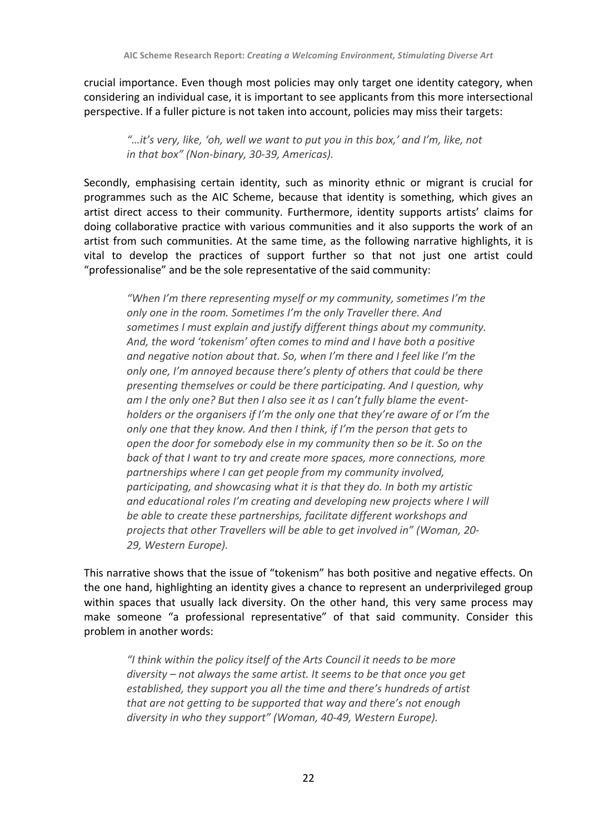crucial importance. Even though most policies may only target one identity category, when considering an individual case, it is important to see applicants from this more intersectional perspective. If a fuller picture is not taken into account, policies may miss their targets:

"...it's very, like, 'oh, well we want to put you in this box,' and I'm, like, not *in that box"* (Non-binary, 30-39, Americas).

Secondly, emphasising certain identity, such as minority ethnic or migrant is crucial for programmes such as the AIC Scheme, because that identity is something, which gives an artist direct access to their community. Furthermore, identity supports artists' claims for doing collaborative practice with various communities and it also supports the work of an artist from such communities. At the same time, as the following narrative highlights, it is vital to develop the practices of support further so that not just one artist could "professionalise" and be the sole representative of the said community:

*"When* I'm there representing myself or my community, sometimes I'm the only one in the room. Sometimes I'm the only Traveller there. And *sometimes I must explain and justify different things about my community.* And, the word 'tokenism' often comes to mind and I have both a positive and negative notion about that. So, when I'm there and I feel like I'm the only one, I'm annoyed because there's plenty of others that could be there *presenting themselves or could be there participating. And I question, why* am I the only one? But then I also see it as I can't fully blame the event*holders* or the organisers if I'm the only one that they're aware of or I'm the *only* one that they know. And then I think, if I'm the person that gets to *open the door for somebody else in my community then so be it. So on the back* of that I want to try and create more spaces, more connections, more partnerships where I can get people from my community involved. *participating, and showcasing what it is that they do. In both my artistic and educational roles I'm creating and developing new projects where I will* be able to create these partnerships, facilitate different workshops and *projects that other Travellers will be able to get involved in" (Woman, 20- 29, Western Europe).*

This narrative shows that the issue of "tokenism" has both positive and negative effects. On the one hand, highlighting an identity gives a chance to represent an underprivileged group within spaces that usually lack diversity. On the other hand, this very same process may make someone "a professional representative" of that said community. Consider this problem in another words:

"I think within the policy itself of the Arts Council it needs to be more *diversity* – not always the same artist. It seems to be that once you get established, they support you all the time and there's hundreds of artist *that are not getting to be supported that way and there's not enough diversity in who they support"* (Woman, 40-49, Western Europe).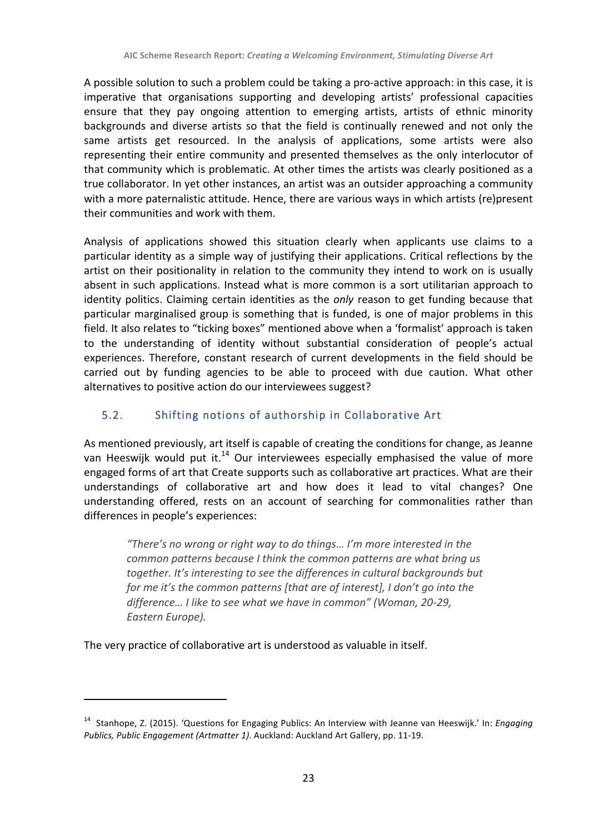A possible solution to such a problem could be taking a pro-active approach: in this case, it is imperative that organisations supporting and developing artists' professional capacities ensure that they pay ongoing attention to emerging artists, artists of ethnic minority backgrounds and diverse artists so that the field is continually renewed and not only the same artists get resourced. In the analysis of applications, some artists were also representing their entire community and presented themselves as the only interlocutor of that community which is problematic. At other times the artists was clearly positioned as a true collaborator. In yet other instances, an artist was an outsider approaching a community with a more paternalistic attitude. Hence, there are various ways in which artists (re)present their communities and work with them.

Analysis of applications showed this situation clearly when applicants use claims to a particular identity as a simple way of justifying their applications. Critical reflections by the artist on their positionality in relation to the community they intend to work on is usually absent in such applications. Instead what is more common is a sort utilitarian approach to identity politics. Claiming certain identities as the *only* reason to get funding because that particular marginalised group is something that is funded, is one of major problems in this field. It also relates to "ticking boxes" mentioned above when a 'formalist' approach is taken to the understanding of identity without substantial consideration of people's actual experiences. Therefore, constant research of current developments in the field should be carried out by funding agencies to be able to proceed with due caution. What other alternatives to positive action do our interviewees suggest?

## 5.2. Shifting notions of authorship in Collaborative Art

As mentioned previously, art itself is capable of creating the conditions for change, as Jeanne van Heeswijk would put it.<sup>14</sup> Our interviewees especially emphasised the value of more engaged forms of art that Create supports such as collaborative art practices. What are their understandings of collaborative art and how does it lead to vital changes? One understanding offered, rests on an account of searching for commonalities rather than differences in people's experiences:

"There's no wrong or right way to do things... I'm more interested in the *common patterns because I think the common patterns are what bring us together. It's interesting to see the differences in cultural backgrounds but for* me it's the common patterns [that are of interest], I don't go into the difference... I like to see what we have in common" *(Woman, 20-29, Eastern Europe).*

The very practice of collaborative art is understood as valuable in itself.

<sup>&</sup>lt;sup>14</sup> Stanhope, Z. (2015). 'Questions for Engaging Publics: An Interview with Jeanne van Heeswijk.' In: *Engaging Publics, Public Engagement (Artmatter 1).* Auckland: Auckland Art Gallery, pp. 11-19.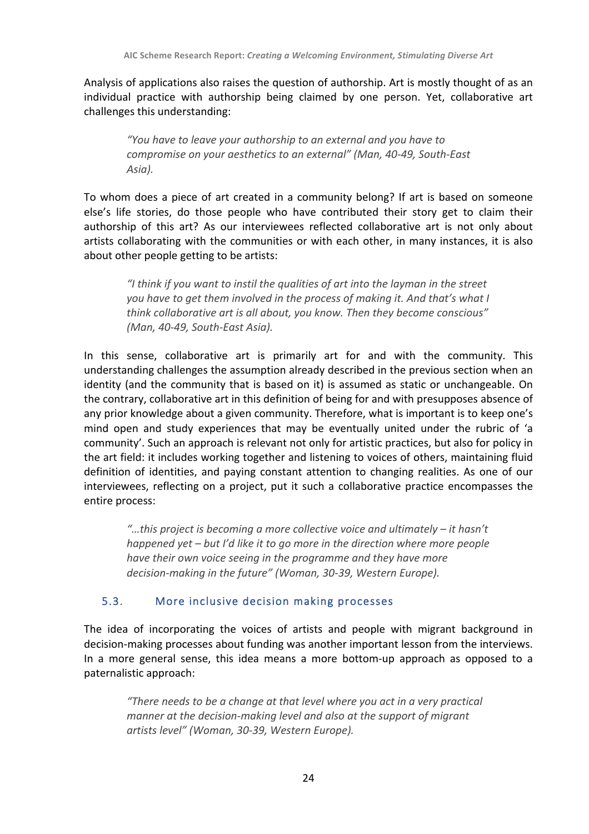Analysis of applications also raises the question of authorship. Art is mostly thought of as an individual practice with authorship being claimed by one person. Yet, collaborative art challenges this understanding:

*"You have to leave your authorship to an external and you have to compromise on your aesthetics to an external" (Man, 40-49, South-East Asia).*

To whom does a piece of art created in a community belong? If art is based on someone else's life stories, do those people who have contributed their story get to claim their authorship of this art? As our interviewees reflected collaborative art is not only about artists collaborating with the communities or with each other, in many instances, it is also about other people getting to be artists:

"I think if you want to instil the qualities of art into the layman in the street *you have to get them involved in the process of making it. And that's what I think collaborative art is all about, you know. Then they become conscious" (Man, 40-49, South-East Asia).*

In this sense, collaborative art is primarily art for and with the community. This understanding challenges the assumption already described in the previous section when an identity (and the community that is based on it) is assumed as static or unchangeable. On the contrary, collaborative art in this definition of being for and with presupposes absence of any prior knowledge about a given community. Therefore, what is important is to keep one's mind open and study experiences that may be eventually united under the rubric of 'a community'. Such an approach is relevant not only for artistic practices, but also for policy in the art field: it includes working together and listening to voices of others, maintaining fluid definition of identities, and paying constant attention to changing realities. As one of our interviewees, reflecting on a project, put it such a collaborative practice encompasses the entire process:

*"…this project is becoming a more collective voice and ultimately – it hasn't happened yet* – but I'd like it to go more in the direction where more people *have their own voice seeing in the programme and they have more decision-making in the future"* (Woman, 30-39, Western Europe).

#### 5.3. More inclusive decision making processes

The idea of incorporating the voices of artists and people with migrant background in decision-making processes about funding was another important lesson from the interviews. In a more general sense, this idea means a more bottom-up approach as opposed to a paternalistic approach:

*"There needs to be a change at that level where you act in a very practical manner* at the decision-making level and also at the support of migrant *artists level" (Woman, 30-39, Western Europe).*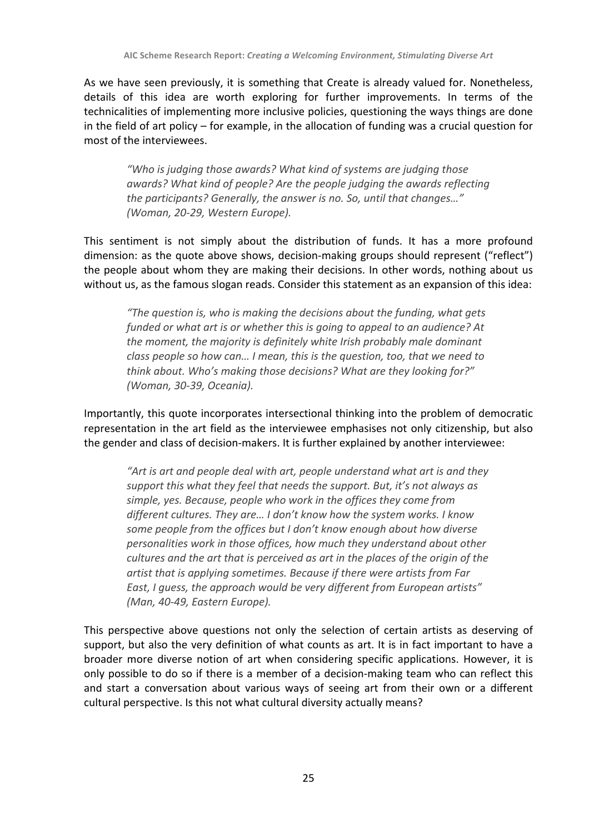As we have seen previously, it is something that Create is already valued for. Nonetheless, details of this idea are worth exploring for further improvements. In terms of the technicalities of implementing more inclusive policies, questioning the ways things are done in the field of art policy – for example, in the allocation of funding was a crucial question for most of the interviewees.

"Who is judging those awards? What kind of systems are judging those *awards?* What kind of people? Are the people judging the awards reflecting the participants? Generally, the answer is no. So, until that changes..." *(Woman, 20-29, Western Europe).*

This sentiment is not simply about the distribution of funds. It has a more profound dimension: as the quote above shows, decision-making groups should represent ("reflect") the people about whom they are making their decisions. In other words, nothing about us without us, as the famous slogan reads. Consider this statement as an expansion of this idea:

*"The question is, who is making the decisions about the funding, what gets funded* or what art is or whether this is going to appeal to an audience? At *the moment, the majority is definitely white Irish probably male dominant class people so how can... I mean, this is the question, too, that we need to* think about. Who's making those decisions? What are they looking for?" *(Woman, 30-39, Oceania).*

Importantly, this quote incorporates intersectional thinking into the problem of democratic representation in the art field as the interviewee emphasises not only citizenship, but also the gender and class of decision-makers. It is further explained by another interviewee:

"Art is art and people deal with art, people understand what art is and they support this what they feel that needs the support. But, it's not always as simple, yes. Because, people who work in the offices they come from different cultures. They are... I don't know how the system works. I know some people from the offices but I don't know enough about how diverse *personalities* work in those offices, how much they understand about other *cultures and the art that is perceived as art in the places of the origin of the* artist that is applying sometimes. Because if there were artists from Far East, I quess, the approach would be very different from European artists" *(Man, 40-49, Eastern Europe).*

This perspective above questions not only the selection of certain artists as deserving of support, but also the very definition of what counts as art. It is in fact important to have a broader more diverse notion of art when considering specific applications. However, it is only possible to do so if there is a member of a decision-making team who can reflect this and start a conversation about various ways of seeing art from their own or a different cultural perspective. Is this not what cultural diversity actually means?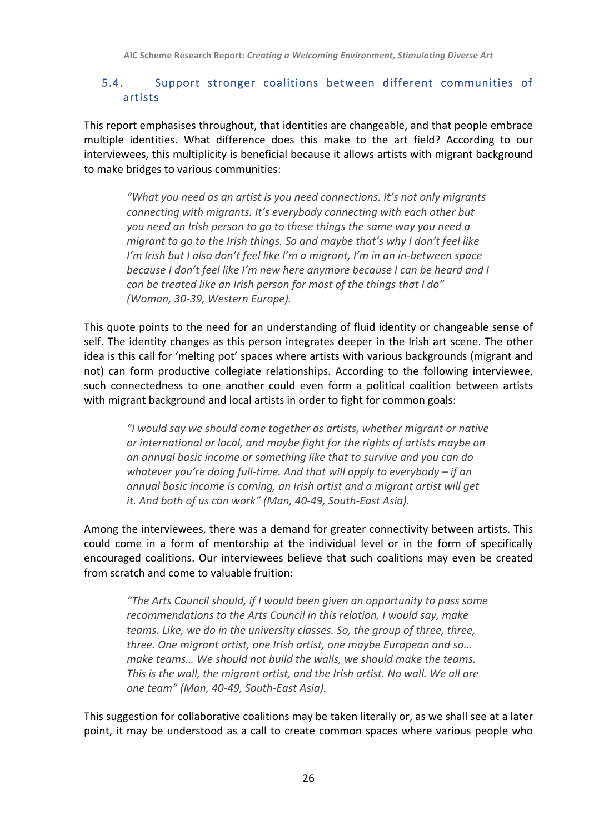#### 5.4. Support stronger coalitions between different communities of artists

This report emphasises throughout, that identities are changeable, and that people embrace multiple identities. What difference does this make to the art field? According to our interviewees, this multiplicity is beneficial because it allows artists with migrant background to make bridges to various communities:

"What you need as an artist is you need connections. It's not only migrants *connecting with migrants. It's everybody connecting with each other but* you need an Irish person to go to these things the same way you need a *migrant to go to the Irish things. So and maybe that's why I don't feel like* I'm Irish but I also don't feel like I'm a migrant, I'm in an in-between space *because I don't feel like I'm new here anymore because I can be heard and I* can be treated like an Irish person for most of the things that I do" *(Woman, 30-39, Western Europe).*

This quote points to the need for an understanding of fluid identity or changeable sense of self. The identity changes as this person integrates deeper in the Irish art scene. The other idea is this call for 'melting pot' spaces where artists with various backgrounds (migrant and not) can form productive collegiate relationships. According to the following interviewee, such connectedness to one another could even form a political coalition between artists with migrant background and local artists in order to fight for common goals:

"I would say we should come together as artists, whether migrant or native *or international or local, and maybe fight for the rights of artists maybe on* an annual basic income or something like that to survive and you can do *whatever vou're doing full-time. And that will apply to everybody – if an* annual basic income is coming, an Irish artist and a migrant artist will get *it.* And both of us can work" (Man, 40-49, South-East Asia).

Among the interviewees, there was a demand for greater connectivity between artists. This could come in a form of mentorship at the individual level or in the form of specifically encouraged coalitions. Our interviewees believe that such coalitions may even be created from scratch and come to valuable fruition:

"The Arts Council should, if I would been given an opportunity to pass some recommendations to the Arts Council in this relation, I would say, make *teams. Like, we do in the university classes. So, the group of three, three, three. One migrant artist, one Irish artist, one maybe European and so...* make *teams...* We should not build the walls, we should make the teams. *This is the wall, the migrant artist, and the Irish artist. No wall. We all are one team" (Man, 40-49, South-East Asia).*

This suggestion for collaborative coalitions may be taken literally or, as we shall see at a later point, it may be understood as a call to create common spaces where various people who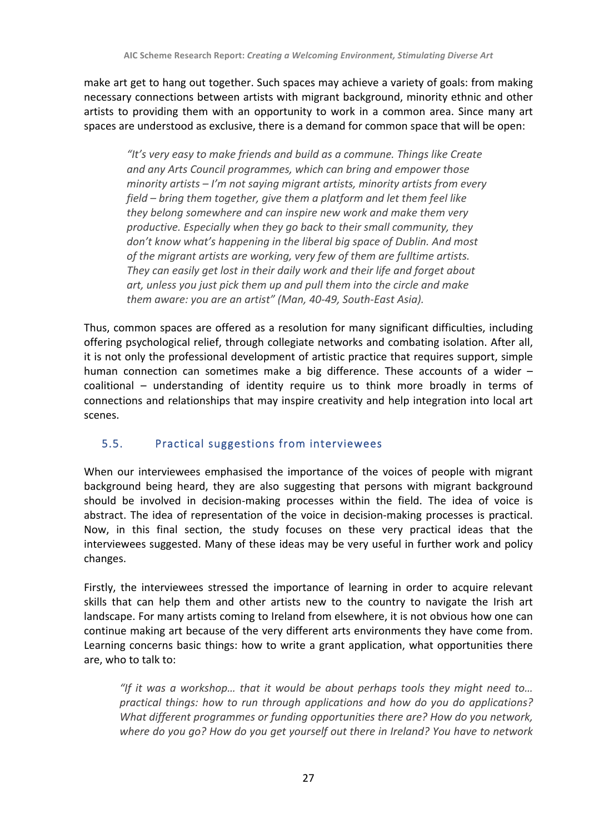make art get to hang out together. Such spaces may achieve a variety of goals: from making necessary connections between artists with migrant background, minority ethnic and other artists to providing them with an opportunity to work in a common area. Since many art spaces are understood as exclusive, there is a demand for common space that will be open:

"It's very easy to make friends and build as a commune. Things like Create and any Arts Council programmes, which can bring and empower those *minority* artists – I'm not saying migrant artists, minority artists from every *field* – *bring* them together, give them a platform and let them feel like *they belong somewhere and can inspire new work and make them very productive.* Especially when they go back to their small community, they don't know what's happening in the liberal big space of Dublin. And most of the migrant artists are working, very few of them are fulltime artists. They can easily get lost in their daily work and their life and forget about art, unless you just pick them up and pull them into the circle and make *them aware: you are an artist" (Man, 40-49, South-East Asia).*

Thus, common spaces are offered as a resolution for many significant difficulties, including offering psychological relief, through collegiate networks and combating isolation. After all, it is not only the professional development of artistic practice that requires support, simple human connection can sometimes make a big difference. These accounts of a wider  $$ coalitional – understanding of identity require us to think more broadly in terms of connections and relationships that may inspire creativity and help integration into local art scenes.

## 5.5. Practical suggestions from interviewees

When our interviewees emphasised the importance of the voices of people with migrant background being heard, they are also suggesting that persons with migrant background should be involved in decision-making processes within the field. The idea of voice is abstract. The idea of representation of the voice in decision-making processes is practical. Now, in this final section, the study focuses on these very practical ideas that the interviewees suggested. Many of these ideas may be very useful in further work and policy changes.

Firstly, the interviewees stressed the importance of learning in order to acquire relevant skills that can help them and other artists new to the country to navigate the Irish art landscape. For many artists coming to Ireland from elsewhere, it is not obvious how one can continue making art because of the very different arts environments they have come from. Learning concerns basic things: how to write a grant application, what opportunities there are, who to talk to:

"If it was a workshop... that it would be about perhaps tools they might need to... *practical things: how to run through applications and how do you do applications? What different programmes or funding opportunities there are?* How do you network, where do you go? How do you get yourself out there in Ireland? You have to network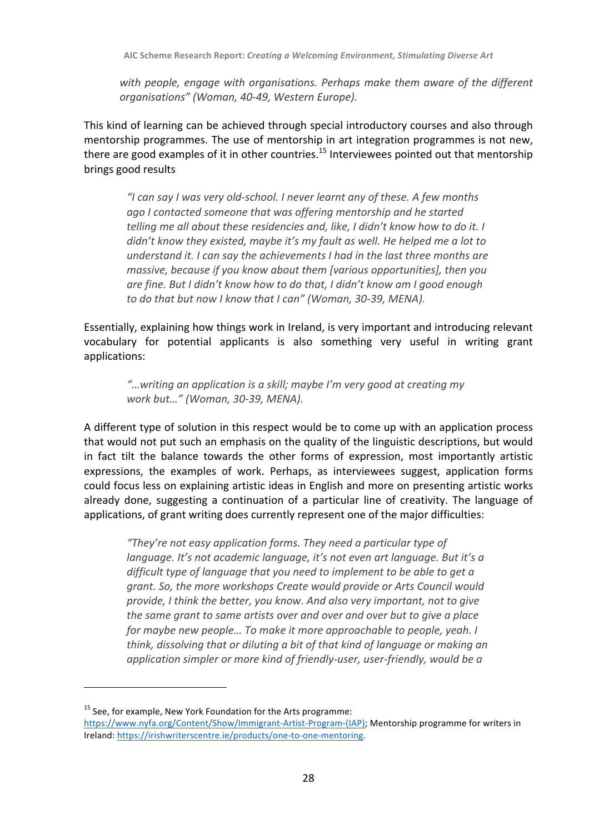with people, engage with organisations. Perhaps make them aware of the different *organisations" (Woman, 40-49, Western Europe).*

This kind of learning can be achieved through special introductory courses and also through mentorship programmes. The use of mentorship in art integration programmes is not new, there are good examples of it in other countries.<sup>15</sup> Interviewees pointed out that mentorship brings good results

"I can say I was very old-school. I never learnt any of these. A few months ago I contacted someone that was offering mentorship and he started *telling* me all about these residencies and, like, I didn't know how to do it. I *didn't* know they existed, maybe it's my fault as well. He helped me a lot to *understand it. I can say the achievements I had in the last three months are massive, because if you know about them [various opportunities], then you* are fine. But I didn't know how to do that, I didn't know am I good enough to do that but now I know that I can" (Woman, 30-39, MENA).

Essentially, explaining how things work in Ireland, is very important and introducing relevant vocabulary for potential applicants is also something very useful in writing grant applications:

"...writing an application is a skill; maybe I'm very good at creating my *work but…" (Woman, 30-39, MENA).*

A different type of solution in this respect would be to come up with an application process that would not put such an emphasis on the quality of the linguistic descriptions, but would in fact tilt the balance towards the other forms of expression, most importantly artistic expressions, the examples of work. Perhaps, as interviewees suggest, application forms could focus less on explaining artistic ideas in English and more on presenting artistic works already done, suggesting a continuation of a particular line of creativity. The language of applications, of grant writing does currently represent one of the major difficulties:

"They're not easy application forms. They need a particular type of *language.* It's not academic language, it's not even art language. But it's a difficult type of language that you need to implement to be able to get a grant. So, the more workshops Create would provide or Arts Council would *provide, I think the better, you know. And also very important, not to give the same grant to same artists over and over and over but to give a place for maybe new people... To make it more approachable to people, yeah. I think, dissolving that or diluting a bit of that kind of language or making an* application simpler or more kind of friendly-user, user-friendly, would be a

 $15$  See, for example, New York Foundation for the Arts programme:

https://www.nyfa.org/Content/Show/Immigrant-Artist-Program-(IAP); Mentorship programme for writers in Ireland: https://irishwriterscentre.ie/products/one-to-one-mentoring.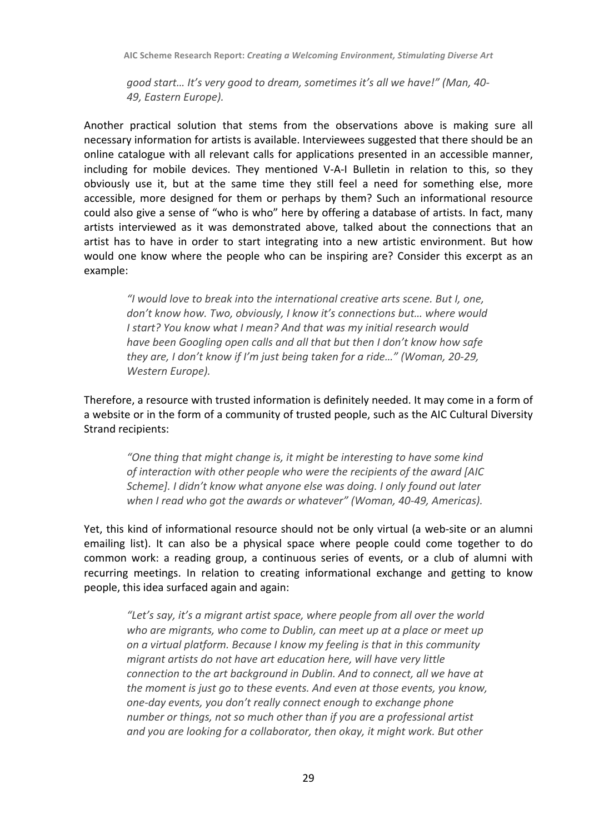*good start… It's very good to dream, sometimes it's all we have!" (Man, 40- 49, Eastern Europe).*

Another practical solution that stems from the observations above is making sure all necessary information for artists is available. Interviewees suggested that there should be an online catalogue with all relevant calls for applications presented in an accessible manner, including for mobile devices. They mentioned V-A-I Bulletin in relation to this, so they obviously use it, but at the same time they still feel a need for something else, more accessible, more designed for them or perhaps by them? Such an informational resource could also give a sense of "who is who" here by offering a database of artists. In fact, many artists interviewed as it was demonstrated above, talked about the connections that an artist has to have in order to start integrating into a new artistic environment. But how would one know where the people who can be inspiring are? Consider this excerpt as an example:

*"I would love to break into the international creative arts scene. But I, one,*  don't know how. Two, obviously, I know it's connections but... where would *I* start? You know what *I* mean? And that was my initial research would *have been Googling open calls and all that but then I don't know how safe they are, I don't know if I'm just being taken for a ride…" (Woman, 20-29, Western Europe).*

Therefore, a resource with trusted information is definitely needed. It may come in a form of a website or in the form of a community of trusted people, such as the AIC Cultural Diversity Strand recipients:

"One thing that might change is, it might be interesting to have some kind of interaction with other people who were the recipients of the award [AIC *Scheme].* I didn't know what anyone else was doing. I only found out later when I read who got the awards or whatever" (Woman, 40-49, Americas).

Yet, this kind of informational resource should not be only virtual (a web-site or an alumni emailing list). It can also be a physical space where people could come together to do common work: a reading group, a continuous series of events, or a club of alumni with recurring meetings. In relation to creating informational exchange and getting to know people, this idea surfaced again and again:

"Let's say, it's a migrant artist space, where people from all over the world who are migrants, who come to Dublin, can meet up at a place or meet up *on a virtual platform. Because I know my feeling is that in this community migrant artists do not have art education here, will have very little connection to the art background in Dublin. And to connect, all we have at the moment is just go to these events. And even at those events, you know, one-day events, you don't really connect enough to exchange phone number* or things, not so much other than if you are a professional artist and you are looking for a collaborator, then okay, it might work. But other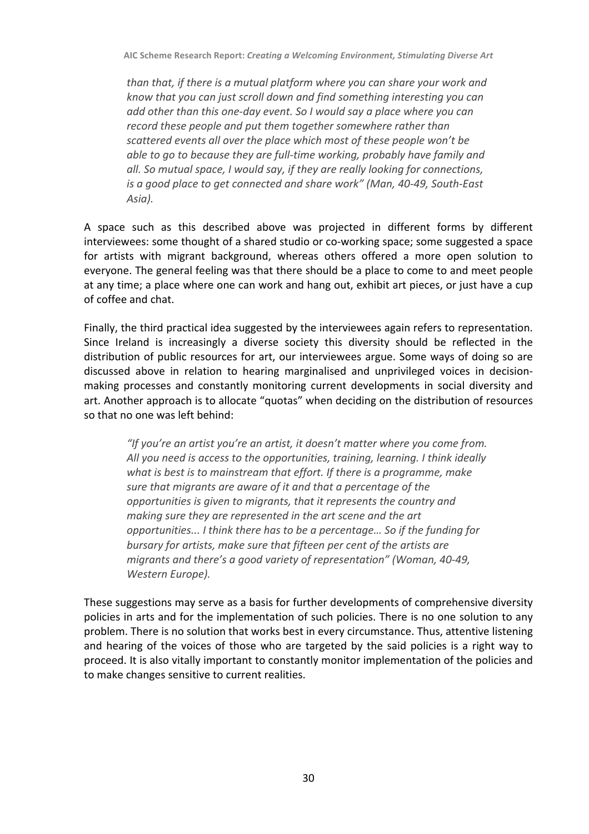*than* that, if there is a mutual platform where you can share your work and *know that you can just scroll down and find something interesting you can add* other than this one-day event. So I would say a place where you can *record these people and put them together somewhere rather than* scattered events all over the place which most of these people won't be *able to go to because they are full-time working, probably have family and all.* So mutual space, I would say, if they are really looking for connections, *is* a good place to get connected and share work" (Man, 40-49, South-East *Asia).*

A space such as this described above was projected in different forms by different interviewees: some thought of a shared studio or co-working space; some suggested a space for artists with migrant background, whereas others offered a more open solution to everyone. The general feeling was that there should be a place to come to and meet people at any time; a place where one can work and hang out, exhibit art pieces, or just have a cup of coffee and chat.

Finally, the third practical idea suggested by the interviewees again refers to representation. Since Ireland is increasingly a diverse society this diversity should be reflected in the distribution of public resources for art, our interviewees argue. Some ways of doing so are discussed above in relation to hearing marginalised and unprivileged voices in decisionmaking processes and constantly monitoring current developments in social diversity and art. Another approach is to allocate "quotas" when deciding on the distribution of resources so that no one was left behind:

"If you're an artist you're an artist, it doesn't matter where you come from. All you need is access to the opportunities, training, learning. I think ideally what is best is to mainstream that effort. If there is a programme, make sure that migrants are aware of it and that a percentage of the *opportunities is given to migrants, that it represents the country and making sure they are represented in the art scene and the art opportunities...* I think there has to be a percentage... So if the funding for *bursary* for artists, make sure that fifteen per cent of the artists are *migrants and there's a good variety of representation"* (Woman, 40-49, *Western Europe).*

These suggestions may serve as a basis for further developments of comprehensive diversity policies in arts and for the implementation of such policies. There is no one solution to any problem. There is no solution that works best in every circumstance. Thus, attentive listening and hearing of the voices of those who are targeted by the said policies is a right way to proceed. It is also vitally important to constantly monitor implementation of the policies and to make changes sensitive to current realities.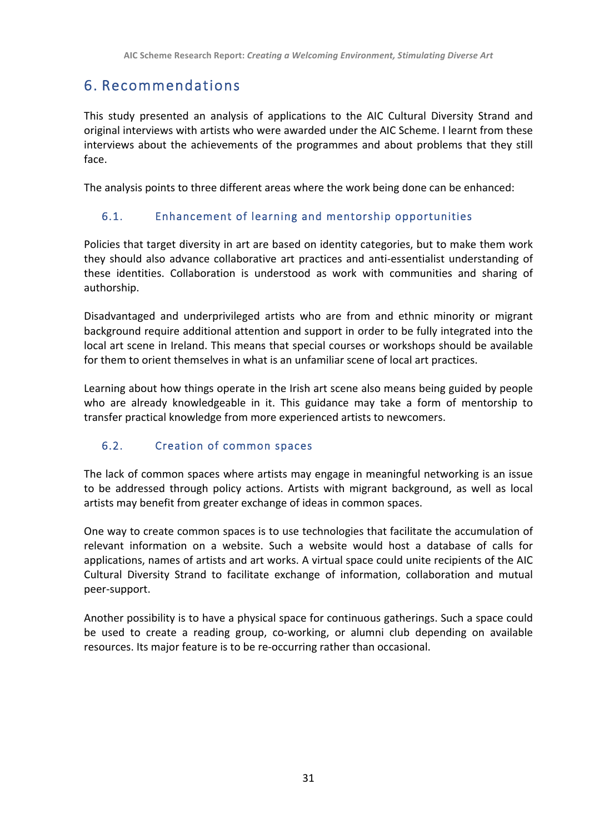## 6. Recommendations

This study presented an analysis of applications to the AIC Cultural Diversity Strand and original interviews with artists who were awarded under the AIC Scheme. I learnt from these interviews about the achievements of the programmes and about problems that they still face.

The analysis points to three different areas where the work being done can be enhanced:

## 6.1. Enhancement of learning and mentorship opportunities

Policies that target diversity in art are based on identity categories, but to make them work they should also advance collaborative art practices and anti-essentialist understanding of these identities. Collaboration is understood as work with communities and sharing of authorship.

Disadvantaged and underprivileged artists who are from and ethnic minority or migrant background require additional attention and support in order to be fully integrated into the local art scene in Ireland. This means that special courses or workshops should be available for them to orient themselves in what is an unfamiliar scene of local art practices.

Learning about how things operate in the Irish art scene also means being guided by people who are already knowledgeable in it. This guidance may take a form of mentorship to transfer practical knowledge from more experienced artists to newcomers.

## 6.2. Creation of common spaces

The lack of common spaces where artists may engage in meaningful networking is an issue to be addressed through policy actions. Artists with migrant background, as well as local artists may benefit from greater exchange of ideas in common spaces.

One way to create common spaces is to use technologies that facilitate the accumulation of relevant information on a website. Such a website would host a database of calls for applications, names of artists and art works. A virtual space could unite recipients of the AIC Cultural Diversity Strand to facilitate exchange of information, collaboration and mutual peer-support. 

Another possibility is to have a physical space for continuous gatherings. Such a space could be used to create a reading group, co-working, or alumni club depending on available resources. Its major feature is to be re-occurring rather than occasional.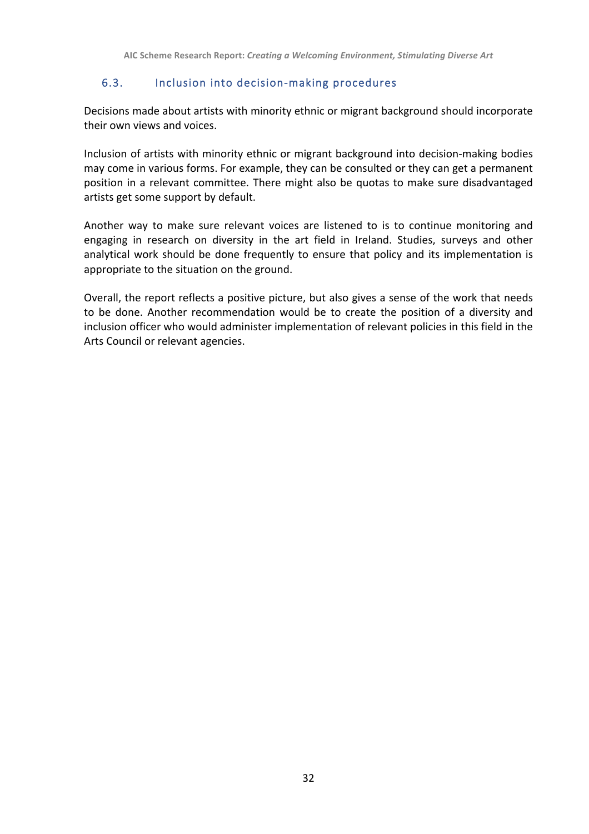#### 6.3. Inclusion into decision-making procedures

Decisions made about artists with minority ethnic or migrant background should incorporate their own views and voices.

Inclusion of artists with minority ethnic or migrant background into decision-making bodies may come in various forms. For example, they can be consulted or they can get a permanent position in a relevant committee. There might also be quotas to make sure disadvantaged artists get some support by default.

Another way to make sure relevant voices are listened to is to continue monitoring and engaging in research on diversity in the art field in Ireland. Studies, surveys and other analytical work should be done frequently to ensure that policy and its implementation is appropriate to the situation on the ground.

Overall, the report reflects a positive picture, but also gives a sense of the work that needs to be done. Another recommendation would be to create the position of a diversity and inclusion officer who would administer implementation of relevant policies in this field in the Arts Council or relevant agencies.